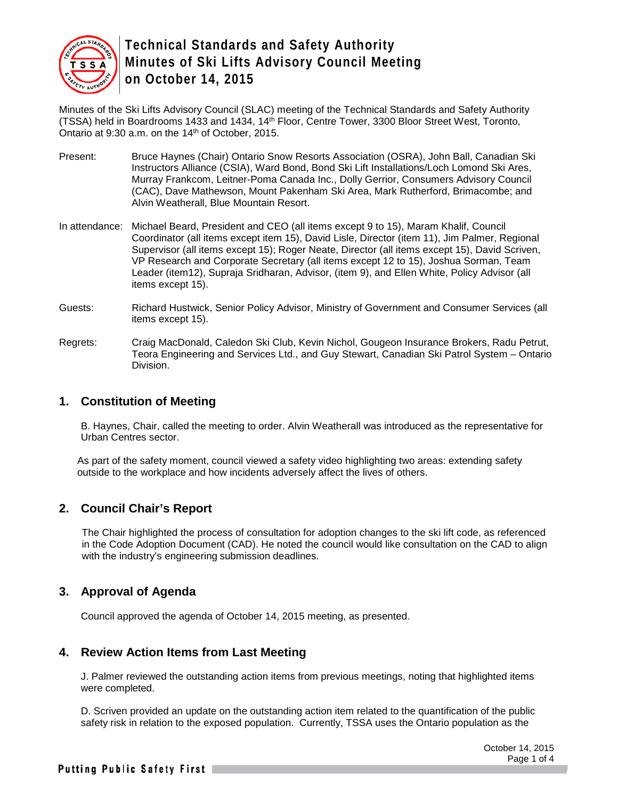

Minutes of the Ski Lifts Advisory Council (SLAC) meeting of the Technical Standards and Safety Authority (TSSA) held in Boardrooms 1433 and 1434, 14<sup>th</sup> Floor, Centre Tower, 3300 Bloor Street West, Toronto, Ontario at 9:30 a.m. on the 14<sup>th</sup> of October, 2015.

- Present: Bruce Haynes (Chair) Ontario Snow Resorts Association (OSRA), John Ball, Canadian Ski Instructors Alliance (CSIA), Ward Bond, Bond Ski Lift Installations/Loch Lomond Ski Ares, Murray Frankcom, Leitner-Poma Canada Inc., Dolly Gerrior, Consumers Advisory Council (CAC), Dave Mathewson, Mount Pakenham Ski Area, Mark Rutherford, Brimacombe; and Alvin Weatherall, Blue Mountain Resort.
- In attendance: Michael Beard, President and CEO (all items except 9 to 15), Maram Khalif, Council Coordinator (all items except item 15), David Lisle, Director (item 11), Jim Palmer, Regional Supervisor (all items except 15); Roger Neate, Director (all items except 15), David Scriven, VP Research and Corporate Secretary (all items except 12 to 15), Joshua Sorman, Team Leader (item12), Supraja Sridharan, Advisor, (item 9), and Ellen White, Policy Advisor (all items except 15).
- Guests: Richard Hustwick, Senior Policy Advisor, Ministry of Government and Consumer Services (all items except 15).
- Regrets: Craig MacDonald, Caledon Ski Club, Kevin Nichol, Gougeon Insurance Brokers, Radu Petrut, Teora Engineering and Services Ltd., and Guy Stewart, Canadian Ski Patrol System – Ontario Division.

#### **1. Constitution of Meeting**

B. Haynes, Chair, called the meeting to order. Alvin Weatherall was introduced as the representative for Urban Centres sector.

As part of the safety moment, council viewed a safety video highlighting two areas: extending safety outside to the workplace and how incidents adversely affect the lives of others.

# **2. Council Chair's Report**

The Chair highlighted the process of consultation for adoption changes to the ski lift code, as referenced in the Code Adoption Document (CAD). He noted the council would like consultation on the CAD to align with the industry's engineering submission deadlines.

#### **3. Approval of Agenda**

Council approved the agenda of October 14, 2015 meeting, as presented.

# **4. Review Action Items from Last Meeting**

J. Palmer reviewed the outstanding action items from previous meetings, noting that highlighted items were completed.

D. Scriven provided an update on the outstanding action item related to the quantification of the public safety risk in relation to the exposed population. Currently, TSSA uses the Ontario population as the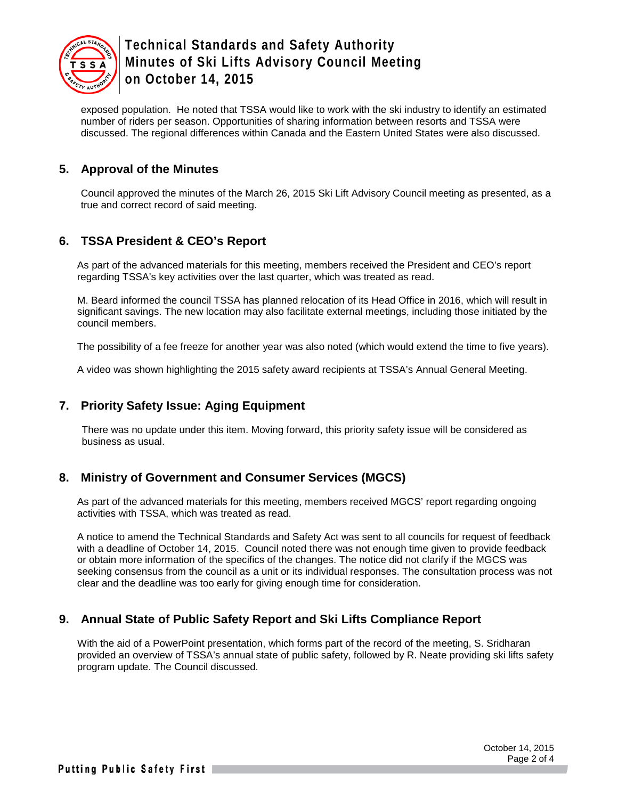

exposed population. He noted that TSSA would like to work with the ski industry to identify an estimated number of riders per season. Opportunities of sharing information between resorts and TSSA were discussed. The regional differences within Canada and the Eastern United States were also discussed.

### **5. Approval of the Minutes**

Council approved the minutes of the March 26, 2015 Ski Lift Advisory Council meeting as presented, as a true and correct record of said meeting.

# **6. TSSA President & CEO's Report**

As part of the advanced materials for this meeting, members received the President and CEO's report regarding TSSA's key activities over the last quarter, which was treated as read.

M. Beard informed the council TSSA has planned relocation of its Head Office in 2016, which will result in significant savings. The new location may also facilitate external meetings, including those initiated by the council members.

The possibility of a fee freeze for another year was also noted (which would extend the time to five years).

A video was shown highlighting the 2015 safety award recipients at TSSA's Annual General Meeting.

#### **7. Priority Safety Issue: Aging Equipment**

There was no update under this item. Moving forward, this priority safety issue will be considered as business as usual.

#### **8. Ministry of Government and Consumer Services (MGCS)**

As part of the advanced materials for this meeting, members received MGCS' report regarding ongoing activities with TSSA, which was treated as read.

A notice to amend the Technical Standards and Safety Act was sent to all councils for request of feedback with a deadline of October 14, 2015. Council noted there was not enough time given to provide feedback or obtain more information of the specifics of the changes. The notice did not clarify if the MGCS was seeking consensus from the council as a unit or its individual responses. The consultation process was not clear and the deadline was too early for giving enough time for consideration.

#### **9. Annual State of Public Safety Report and Ski Lifts Compliance Report**

With the aid of a PowerPoint presentation, which forms part of the record of the meeting, S. Sridharan provided an overview of TSSA's annual state of public safety, followed by R. Neate providing ski lifts safety program update. The Council discussed.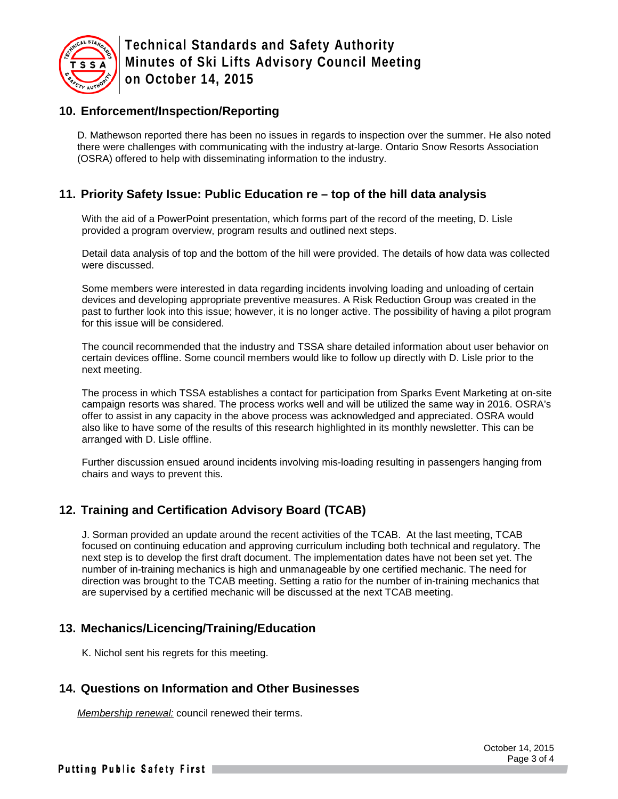

# **10. Enforcement/Inspection/Reporting**

D. Mathewson reported there has been no issues in regards to inspection over the summer. He also noted there were challenges with communicating with the industry at-large. Ontario Snow Resorts Association (OSRA) offered to help with disseminating information to the industry.

# **11. Priority Safety Issue: Public Education re – top of the hill data analysis**

With the aid of a PowerPoint presentation, which forms part of the record of the meeting, D. Lisle provided a program overview, program results and outlined next steps.

Detail data analysis of top and the bottom of the hill were provided. The details of how data was collected were discussed.

Some members were interested in data regarding incidents involving loading and unloading of certain devices and developing appropriate preventive measures. A Risk Reduction Group was created in the past to further look into this issue; however, it is no longer active. The possibility of having a pilot program for this issue will be considered.

The council recommended that the industry and TSSA share detailed information about user behavior on certain devices offline. Some council members would like to follow up directly with D. Lisle prior to the next meeting.

The process in which TSSA establishes a contact for participation from Sparks Event Marketing at on-site campaign resorts was shared. The process works well and will be utilized the same way in 2016. OSRA's offer to assist in any capacity in the above process was acknowledged and appreciated. OSRA would also like to have some of the results of this research highlighted in its monthly newsletter. This can be arranged with D. Lisle offline.

Further discussion ensued around incidents involving mis-loading resulting in passengers hanging from chairs and ways to prevent this.

# **12. Training and Certification Advisory Board (TCAB)**

J. Sorman provided an update around the recent activities of the TCAB. At the last meeting, TCAB focused on continuing education and approving curriculum including both technical and regulatory. The next step is to develop the first draft document. The implementation dates have not been set yet. The number of in-training mechanics is high and unmanageable by one certified mechanic. The need for direction was brought to the TCAB meeting. Setting a ratio for the number of in-training mechanics that are supervised by a certified mechanic will be discussed at the next TCAB meeting.

# **13. Mechanics/Licencing/Training/Education**

K. Nichol sent his regrets for this meeting.

# **14. Questions on Information and Other Businesses**

*Membership renewal:* council renewed their terms.